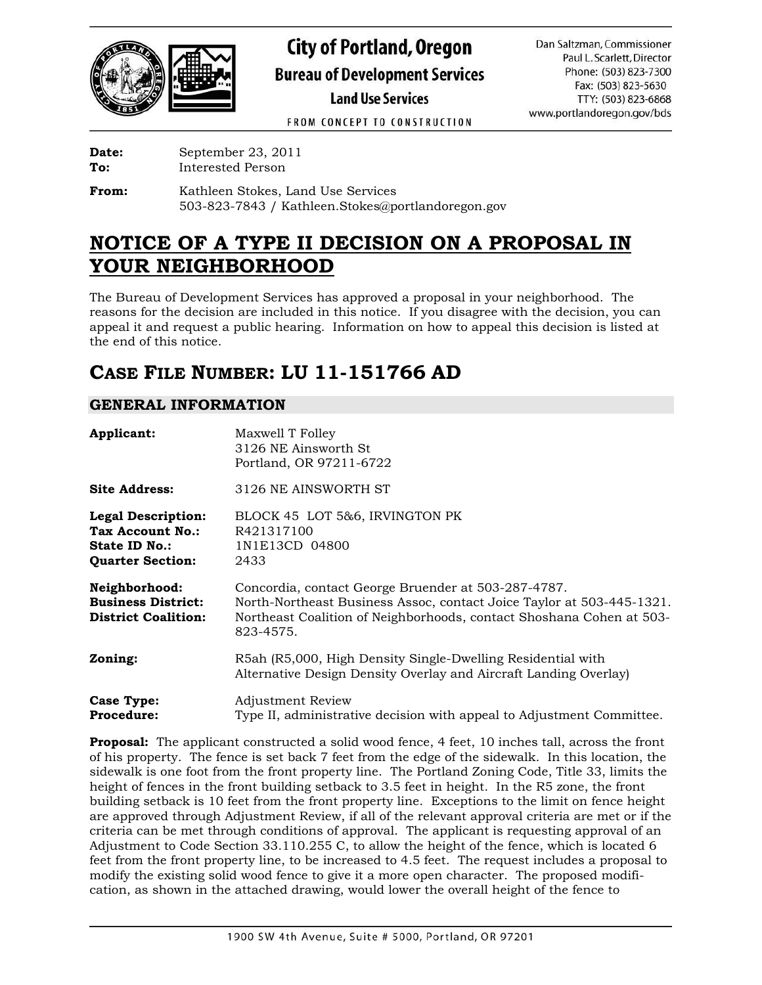

# **City of Portland, Oregon Bureau of Development Services Land Use Services**

Dan Saltzman, Commissioner Paul L. Scarlett, Director Phone: (503) 823-7300 Fax: (503) 823-5630 TTY: (503) 823-6868 www.portlandoregon.gov/bds

FROM CONCEPT TO CONSTRUCTION

| Date:  | September 23, 2011 |
|--------|--------------------|
| $\sim$ | .                  |

**To:** Interested Person

**From:** Kathleen Stokes, Land Use Services 503-823-7843 / Kathleen.Stokes@portlandoregon.gov

## **NOTICE OF A TYPE II DECISION ON A PROPOSAL IN YOUR NEIGHBORHOOD**

The Bureau of Development Services has approved a proposal in your neighborhood. The reasons for the decision are included in this notice. If you disagree with the decision, you can appeal it and request a public hearing. Information on how to appeal this decision is listed at the end of this notice.

## **CASE FILE NUMBER: LU 11-151766 AD**

## **GENERAL INFORMATION**

| Applicant:                                                                                | Maxwell T Folley<br>3126 NE Ainsworth St.<br>Portland, OR 97211-6722                                                                                                                                              |
|-------------------------------------------------------------------------------------------|-------------------------------------------------------------------------------------------------------------------------------------------------------------------------------------------------------------------|
| <b>Site Address:</b>                                                                      | 3126 NE AINSWORTH ST                                                                                                                                                                                              |
| <b>Legal Description:</b><br>Tax Account No.:<br>State ID No.:<br><b>Quarter Section:</b> | BLOCK 45 LOT 5&6, IRVINGTON PK<br>R421317100<br>1N1E13CD 04800<br>2433                                                                                                                                            |
| Neighborhood:<br><b>Business District:</b><br><b>District Coalition:</b>                  | Concordia, contact George Bruender at 503-287-4787.<br>North-Northeast Business Assoc, contact Joice Taylor at 503-445-1321.<br>Northeast Coalition of Neighborhoods, contact Shoshana Cohen at 503-<br>823-4575. |
| Zoning:                                                                                   | R5ah (R5,000, High Density Single-Dwelling Residential with<br>Alternative Design Density Overlay and Aircraft Landing Overlay)                                                                                   |
| <b>Case Type:</b><br><b>Procedure:</b>                                                    | <b>Adjustment Review</b><br>Type II, administrative decision with appeal to Adjustment Committee.                                                                                                                 |

**Proposal:** The applicant constructed a solid wood fence, 4 feet, 10 inches tall, across the front of his property. The fence is set back 7 feet from the edge of the sidewalk. In this location, the sidewalk is one foot from the front property line. The Portland Zoning Code, Title 33, limits the height of fences in the front building setback to 3.5 feet in height. In the R5 zone, the front building setback is 10 feet from the front property line. Exceptions to the limit on fence height are approved through Adjustment Review, if all of the relevant approval criteria are met or if the criteria can be met through conditions of approval. The applicant is requesting approval of an Adjustment to Code Section 33.110.255 C, to allow the height of the fence, which is located 6 feet from the front property line, to be increased to 4.5 feet. The request includes a proposal to modify the existing solid wood fence to give it a more open character. The proposed modification, as shown in the attached drawing, would lower the overall height of the fence to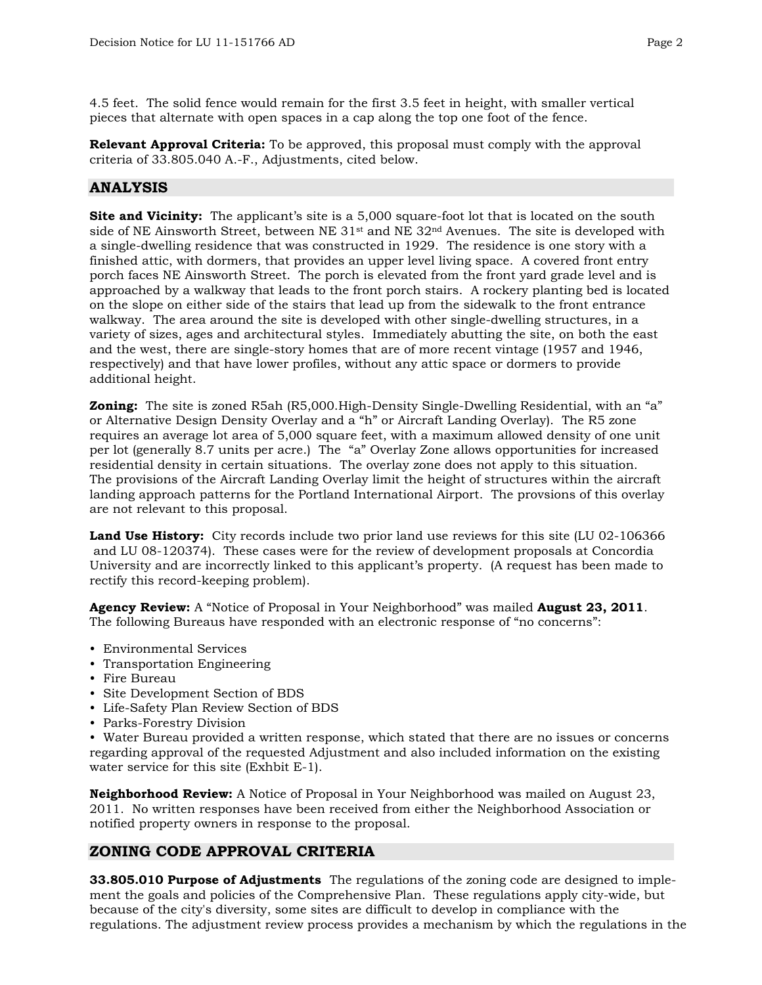4.5 feet. The solid fence would remain for the first 3.5 feet in height, with smaller vertical pieces that alternate with open spaces in a cap along the top one foot of the fence.

**Relevant Approval Criteria:** To be approved, this proposal must comply with the approval criteria of 33.805.040 A.-F., Adjustments, cited below.

### **ANALYSIS**

**Site and Vicinity:** The applicant's site is a 5,000 square-foot lot that is located on the south side of NE Ainsworth Street, between NE  $31<sup>st</sup>$  and NE  $32<sup>nd</sup>$  Avenues. The site is developed with a single-dwelling residence that was constructed in 1929. The residence is one story with a finished attic, with dormers, that provides an upper level living space. A covered front entry porch faces NE Ainsworth Street. The porch is elevated from the front yard grade level and is approached by a walkway that leads to the front porch stairs. A rockery planting bed is located on the slope on either side of the stairs that lead up from the sidewalk to the front entrance walkway. The area around the site is developed with other single-dwelling structures, in a variety of sizes, ages and architectural styles. Immediately abutting the site, on both the east and the west, there are single-story homes that are of more recent vintage (1957 and 1946, respectively) and that have lower profiles, without any attic space or dormers to provide additional height.

**Zoning:** The site is zoned R5ah (R5,000.High-Density Single-Dwelling Residential, with an "a" or Alternative Design Density Overlay and a "h" or Aircraft Landing Overlay). The R5 zone requires an average lot area of 5,000 square feet, with a maximum allowed density of one unit per lot (generally 8.7 units per acre.) The "a" Overlay Zone allows opportunities for increased residential density in certain situations. The overlay zone does not apply to this situation. The provisions of the Aircraft Landing Overlay limit the height of structures within the aircraft landing approach patterns for the Portland International Airport. The provsions of this overlay are not relevant to this proposal.

**Land Use History:** City records include two prior land use reviews for this site (LU 02-106366 and LU 08-120374). These cases were for the review of development proposals at Concordia University and are incorrectly linked to this applicant's property. (A request has been made to rectify this record-keeping problem).

**Agency Review:** A "Notice of Proposal in Your Neighborhood" was mailed **August 23, 2011**. The following Bureaus have responded with an electronic response of "no concerns":

- Environmental Services
- Transportation Engineering
- Fire Bureau
- Site Development Section of BDS
- Life-Safety Plan Review Section of BDS
- Parks-Forestry Division

• Water Bureau provided a written response, which stated that there are no issues or concerns regarding approval of the requested Adjustment and also included information on the existing water service for this site (Exhbit E-1).

**Neighborhood Review:** A Notice of Proposal in Your Neighborhood was mailed on August 23, 2011. No written responses have been received from either the Neighborhood Association or notified property owners in response to the proposal.

### **ZONING CODE APPROVAL CRITERIA**

**33.805.010 Purpose of Adjustments** The regulations of the zoning code are designed to implement the goals and policies of the Comprehensive Plan. These regulations apply city-wide, but because of the city's diversity, some sites are difficult to develop in compliance with the regulations. The adjustment review process provides a mechanism by which the regulations in the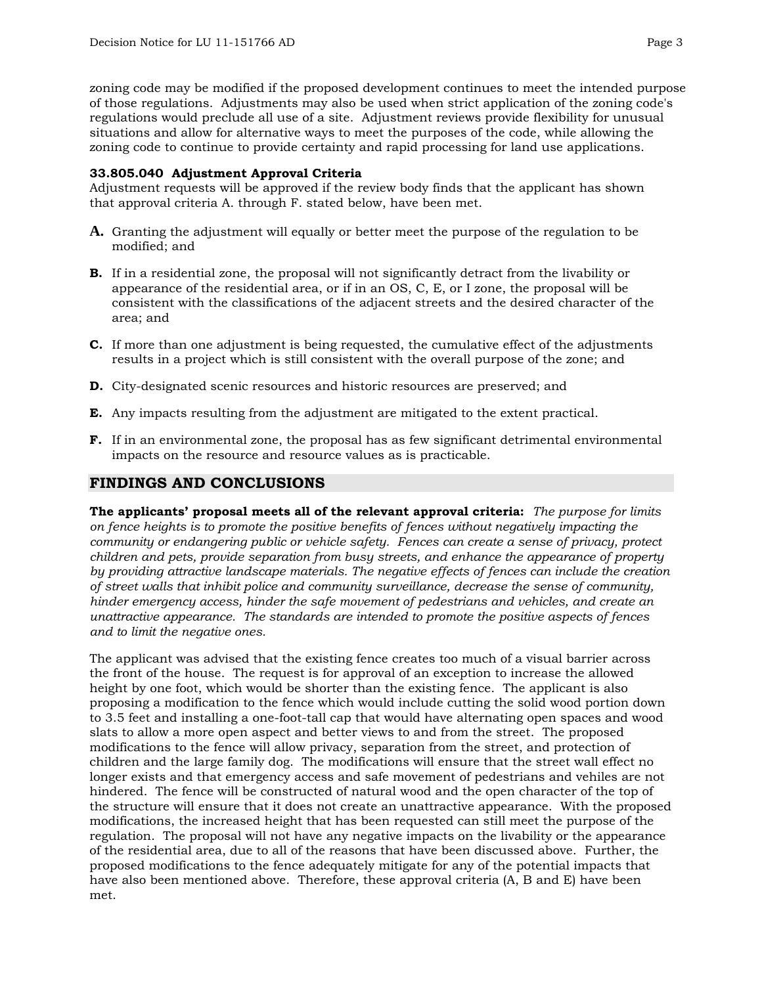zoning code may be modified if the proposed development continues to meet the intended purpose of those regulations. Adjustments may also be used when strict application of the zoning code's regulations would preclude all use of a site. Adjustment reviews provide flexibility for unusual situations and allow for alternative ways to meet the purposes of the code, while allowing the zoning code to continue to provide certainty and rapid processing for land use applications.

#### **33.805.040 Adjustment Approval Criteria**

Adjustment requests will be approved if the review body finds that the applicant has shown that approval criteria A. through F. stated below, have been met.

- **A.** Granting the adjustment will equally or better meet the purpose of the regulation to be modified; and
- **B.** If in a residential zone, the proposal will not significantly detract from the livability or appearance of the residential area, or if in an OS, C, E, or I zone, the proposal will be consistent with the classifications of the adjacent streets and the desired character of the area; and
- **C.** If more than one adjustment is being requested, the cumulative effect of the adjustments results in a project which is still consistent with the overall purpose of the zone; and
- **D.** City-designated scenic resources and historic resources are preserved; and
- **E.** Any impacts resulting from the adjustment are mitigated to the extent practical.
- **F.** If in an environmental zone, the proposal has as few significant detrimental environmental impacts on the resource and resource values as is practicable.

### **FINDINGS AND CONCLUSIONS**

**The applicants' proposal meets all of the relevant approval criteria:** *The purpose for limits on fence heights is to promote the positive benefits of fences without negatively impacting the community or endangering public or vehicle safety. Fences can create a sense of privacy, protect children and pets, provide separation from busy streets, and enhance the appearance of property by providing attractive landscape materials. The negative effects of fences can include the creation of street walls that inhibit police and community surveillance, decrease the sense of community, hinder emergency access, hinder the safe movement of pedestrians and vehicles, and create an unattractive appearance. The standards are intended to promote the positive aspects of fences and to limit the negative ones.* 

The applicant was advised that the existing fence creates too much of a visual barrier across the front of the house. The request is for approval of an exception to increase the allowed height by one foot, which would be shorter than the existing fence. The applicant is also proposing a modification to the fence which would include cutting the solid wood portion down to 3.5 feet and installing a one-foot-tall cap that would have alternating open spaces and wood slats to allow a more open aspect and better views to and from the street. The proposed modifications to the fence will allow privacy, separation from the street, and protection of children and the large family dog. The modifications will ensure that the street wall effect no longer exists and that emergency access and safe movement of pedestrians and vehiles are not hindered. The fence will be constructed of natural wood and the open character of the top of the structure will ensure that it does not create an unattractive appearance. With the proposed modifications, the increased height that has been requested can still meet the purpose of the regulation. The proposal will not have any negative impacts on the livability or the appearance of the residential area, due to all of the reasons that have been discussed above. Further, the proposed modifications to the fence adequately mitigate for any of the potential impacts that have also been mentioned above. Therefore, these approval criteria (A, B and E) have been met.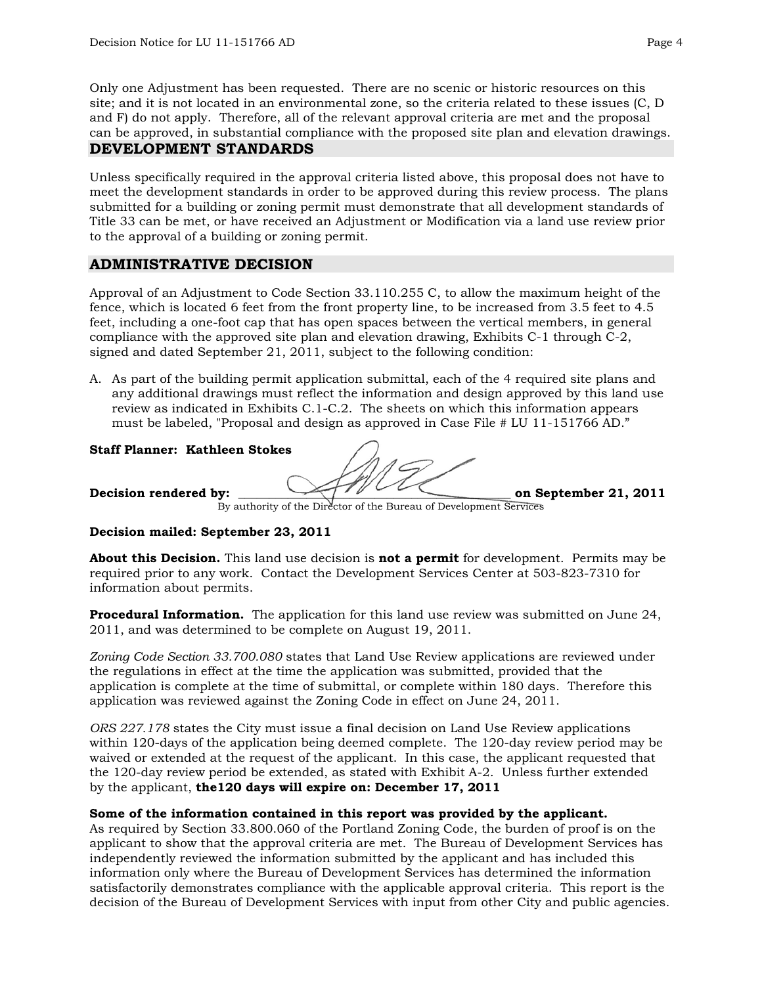Only one Adjustment has been requested. There are no scenic or historic resources on this site; and it is not located in an environmental zone, so the criteria related to these issues (C, D and F) do not apply. Therefore, all of the relevant approval criteria are met and the proposal can be approved, in substantial compliance with the proposed site plan and elevation drawings. **DEVELOPMENT STANDARDS** 

Unless specifically required in the approval criteria listed above, this proposal does not have to meet the development standards in order to be approved during this review process. The plans submitted for a building or zoning permit must demonstrate that all development standards of Title 33 can be met, or have received an Adjustment or Modification via a land use review prior to the approval of a building or zoning permit.

#### **ADMINISTRATIVE DECISION**

Approval of an Adjustment to Code Section 33.110.255 C, to allow the maximum height of the fence, which is located 6 feet from the front property line, to be increased from 3.5 feet to 4.5 feet, including a one-foot cap that has open spaces between the vertical members, in general compliance with the approved site plan and elevation drawing, Exhibits C-1 through C-2, signed and dated September 21, 2011, subject to the following condition:

A. As part of the building permit application submittal, each of the 4 required site plans and any additional drawings must reflect the information and design approved by this land use review as indicated in Exhibits C.1-C.2. The sheets on which this information appears must be labeled, "Proposal and design as approved in Case File # LU 11-151766 AD."

#### **Staff Planner: Kathleen Stokes**

Decision rendered by: **Decision rendered by: Decision** september 21, 2011

By authority of the Director of the Bureau of Development Services

#### **Decision mailed: September 23, 2011**

**About this Decision.** This land use decision is **not a permit** for development. Permits may be required prior to any work. Contact the Development Services Center at 503-823-7310 for information about permits.

**Procedural Information.** The application for this land use review was submitted on June 24, 2011, and was determined to be complete on August 19, 2011.

*Zoning Code Section 33.700.080* states that Land Use Review applications are reviewed under the regulations in effect at the time the application was submitted, provided that the application is complete at the time of submittal, or complete within 180 days. Therefore this application was reviewed against the Zoning Code in effect on June 24, 2011.

*ORS 227.178* states the City must issue a final decision on Land Use Review applications within 120-days of the application being deemed complete. The 120-day review period may be waived or extended at the request of the applicant. In this case, the applicant requested that the 120-day review period be extended, as stated with Exhibit A-2. Unless further extended by the applicant, **the120 days will expire on: December 17, 2011**

#### **Some of the information contained in this report was provided by the applicant.**

As required by Section 33.800.060 of the Portland Zoning Code, the burden of proof is on the applicant to show that the approval criteria are met. The Bureau of Development Services has independently reviewed the information submitted by the applicant and has included this information only where the Bureau of Development Services has determined the information satisfactorily demonstrates compliance with the applicable approval criteria. This report is the decision of the Bureau of Development Services with input from other City and public agencies.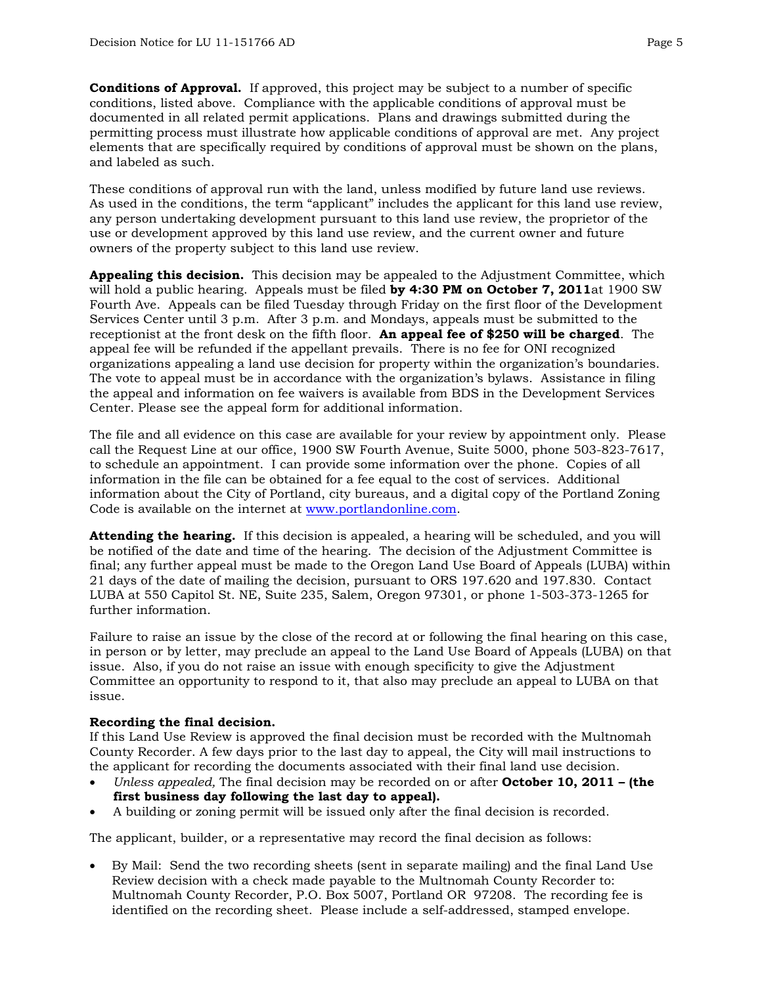**Conditions of Approval.** If approved, this project may be subject to a number of specific conditions, listed above. Compliance with the applicable conditions of approval must be documented in all related permit applications. Plans and drawings submitted during the permitting process must illustrate how applicable conditions of approval are met. Any project elements that are specifically required by conditions of approval must be shown on the plans, and labeled as such.

These conditions of approval run with the land, unless modified by future land use reviews. As used in the conditions, the term "applicant" includes the applicant for this land use review, any person undertaking development pursuant to this land use review, the proprietor of the use or development approved by this land use review, and the current owner and future owners of the property subject to this land use review.

**Appealing this decision.** This decision may be appealed to the Adjustment Committee, which will hold a public hearing. Appeals must be filed **by 4:30 PM on October 7, 2011**at 1900 SW Fourth Ave. Appeals can be filed Tuesday through Friday on the first floor of the Development Services Center until 3 p.m. After 3 p.m. and Mondays, appeals must be submitted to the receptionist at the front desk on the fifth floor. **An appeal fee of \$250 will be charged**. The appeal fee will be refunded if the appellant prevails. There is no fee for ONI recognized organizations appealing a land use decision for property within the organization's boundaries. The vote to appeal must be in accordance with the organization's bylaws. Assistance in filing the appeal and information on fee waivers is available from BDS in the Development Services Center. Please see the appeal form for additional information.

The file and all evidence on this case are available for your review by appointment only. Please call the Request Line at our office, 1900 SW Fourth Avenue, Suite 5000, phone 503-823-7617, to schedule an appointment. I can provide some information over the phone. Copies of all information in the file can be obtained for a fee equal to the cost of services. Additional information about the City of Portland, city bureaus, and a digital copy of the Portland Zoning Code is available on the internet at [www.portlandonline.com](http://www.ci.portland.or.us/).

**Attending the hearing.** If this decision is appealed, a hearing will be scheduled, and you will be notified of the date and time of the hearing. The decision of the Adjustment Committee is final; any further appeal must be made to the Oregon Land Use Board of Appeals (LUBA) within 21 days of the date of mailing the decision, pursuant to ORS 197.620 and 197.830. Contact LUBA at 550 Capitol St. NE, Suite 235, Salem, Oregon 97301, or phone 1-503-373-1265 for further information.

Failure to raise an issue by the close of the record at or following the final hearing on this case, in person or by letter, may preclude an appeal to the Land Use Board of Appeals (LUBA) on that issue. Also, if you do not raise an issue with enough specificity to give the Adjustment Committee an opportunity to respond to it, that also may preclude an appeal to LUBA on that issue.

#### **Recording the final decision.**

If this Land Use Review is approved the final decision must be recorded with the Multnomah County Recorder. A few days prior to the last day to appeal, the City will mail instructions to the applicant for recording the documents associated with their final land use decision.

- *Unless appealed,* The final decision may be recorded on or after **October 10, 2011 (the first business day following the last day to appeal).**
- A building or zoning permit will be issued only after the final decision is recorded.

The applicant, builder, or a representative may record the final decision as follows:

• By Mail: Send the two recording sheets (sent in separate mailing) and the final Land Use Review decision with a check made payable to the Multnomah County Recorder to: Multnomah County Recorder, P.O. Box 5007, Portland OR 97208. The recording fee is identified on the recording sheet. Please include a self-addressed, stamped envelope.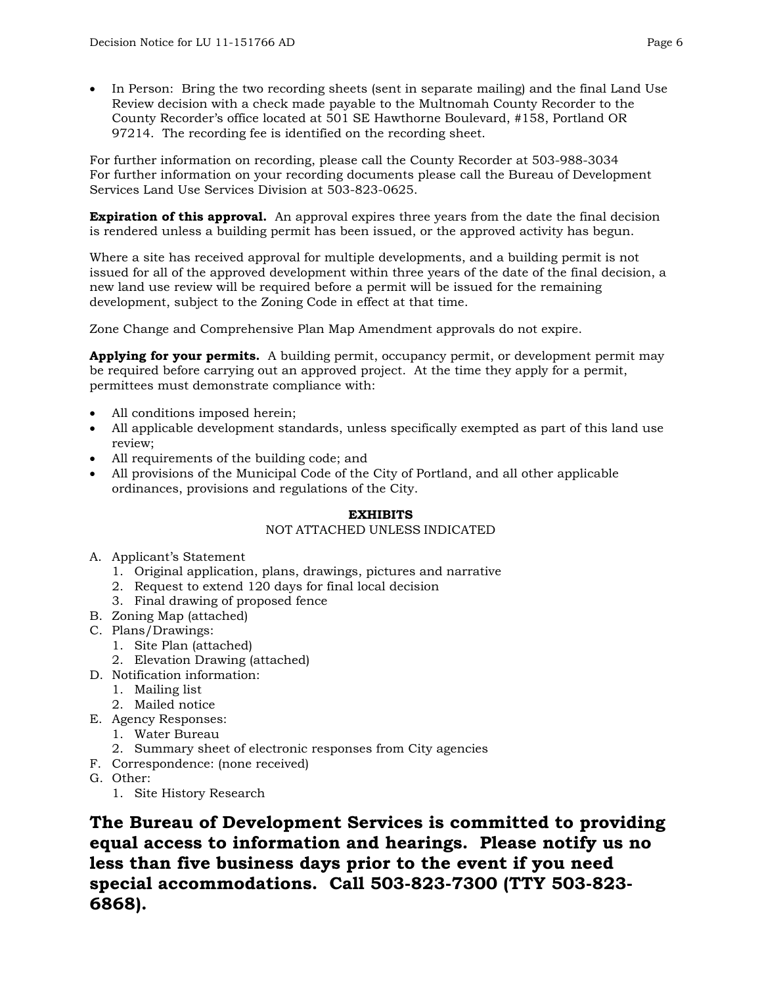• In Person: Bring the two recording sheets (sent in separate mailing) and the final Land Use Review decision with a check made payable to the Multnomah County Recorder to the County Recorder's office located at 501 SE Hawthorne Boulevard, #158, Portland OR 97214. The recording fee is identified on the recording sheet.

For further information on recording, please call the County Recorder at 503-988-3034 For further information on your recording documents please call the Bureau of Development Services Land Use Services Division at 503-823-0625.

**Expiration of this approval.** An approval expires three years from the date the final decision is rendered unless a building permit has been issued, or the approved activity has begun.

Where a site has received approval for multiple developments, and a building permit is not issued for all of the approved development within three years of the date of the final decision, a new land use review will be required before a permit will be issued for the remaining development, subject to the Zoning Code in effect at that time.

Zone Change and Comprehensive Plan Map Amendment approvals do not expire.

**Applying for your permits.** A building permit, occupancy permit, or development permit may be required before carrying out an approved project. At the time they apply for a permit, permittees must demonstrate compliance with:

- All conditions imposed herein;
- All applicable development standards, unless specifically exempted as part of this land use review;
- All requirements of the building code; and
- All provisions of the Municipal Code of the City of Portland, and all other applicable ordinances, provisions and regulations of the City.

#### **EXHIBITS**

#### NOT ATTACHED UNLESS INDICATED

- A. Applicant's Statement
	- 1. Original application, plans, drawings, pictures and narrative
	- 2. Request to extend 120 days for final local decision
	- 3. Final drawing of proposed fence
- B. Zoning Map (attached)
- C. Plans/Drawings:
	- 1. Site Plan (attached)
	- 2. Elevation Drawing (attached)
- D. Notification information:
	- 1. Mailing list
		- 2. Mailed notice
- E. Agency Responses:
	- 1. Water Bureau
	- 2. Summary sheet of electronic responses from City agencies
- F. Correspondence: (none received)
- G. Other:
	- 1. Site History Research

**The Bureau of Development Services is committed to providing equal access to information and hearings. Please notify us no less than five business days prior to the event if you need special accommodations. Call 503-823-7300 (TTY 503-823- 6868).**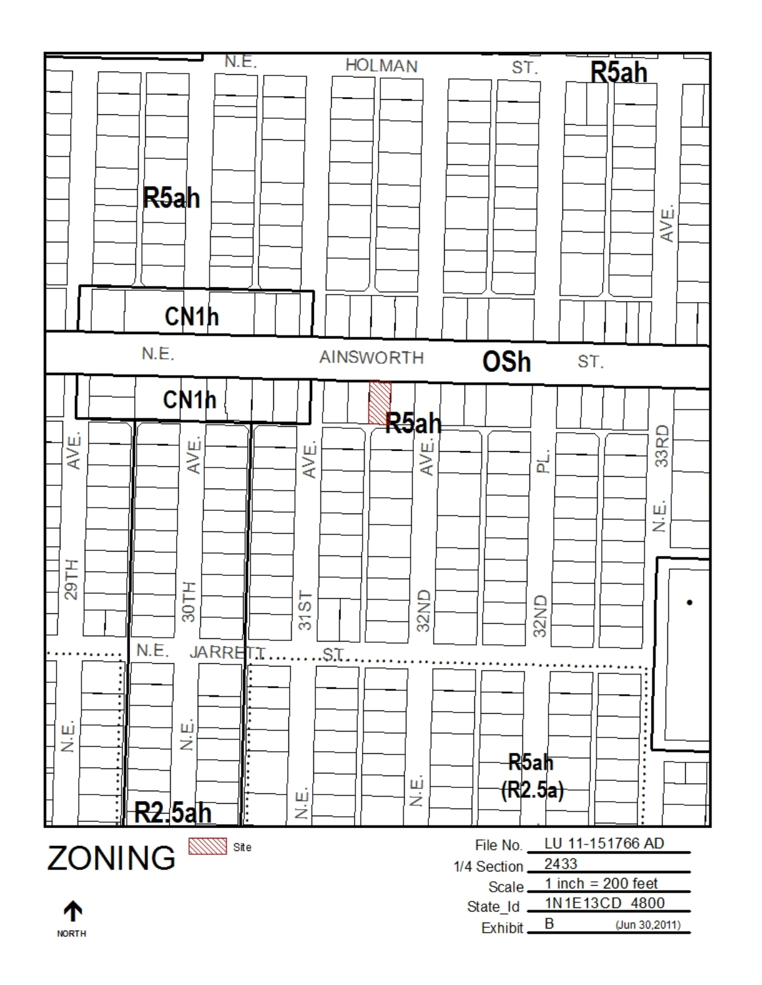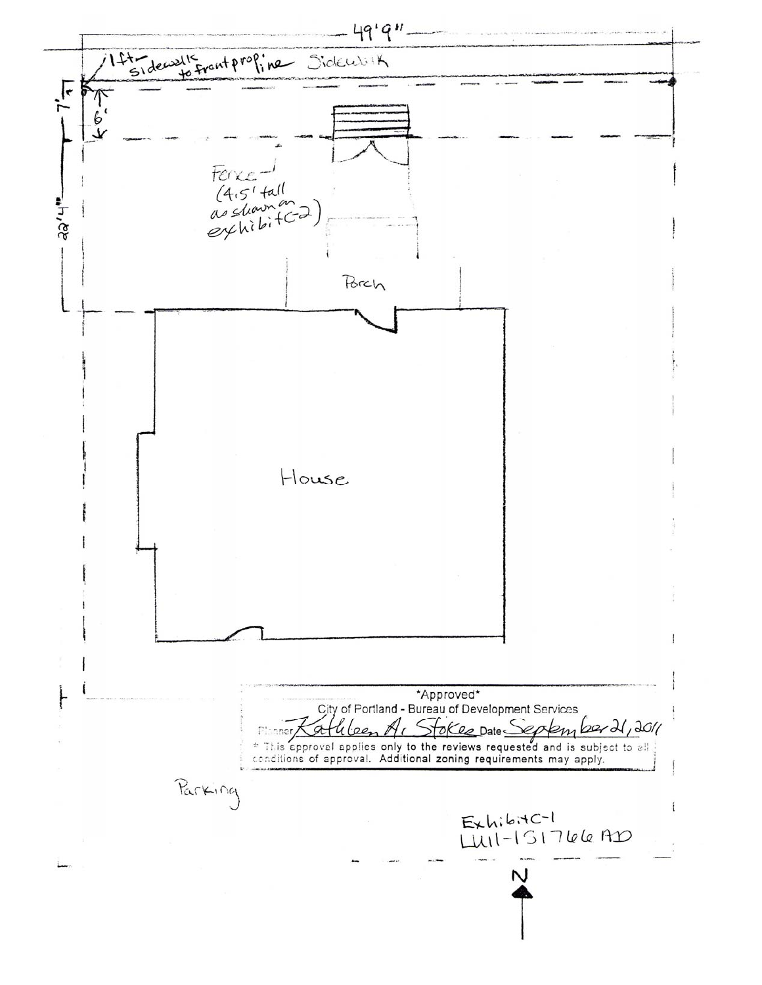$49'9''$ 14th decisils front profine Sidework  $-7\frac{1}{3}$ イッナ Ferxe<br>(4.5' tall<br>as shown on<br>explibitC2) ತಿತಿ,ಗ. Porch House \*Approved\* City of Portland - Bureau of Development Services athleen Stokes Date September 21, 2011 Pinner \* This approval applies only to the reviews requested and is subject to all conditions of approval. Additional zoning requirements may apply. Parking ExhibitC-1<br>LUII-ISI766 AD N